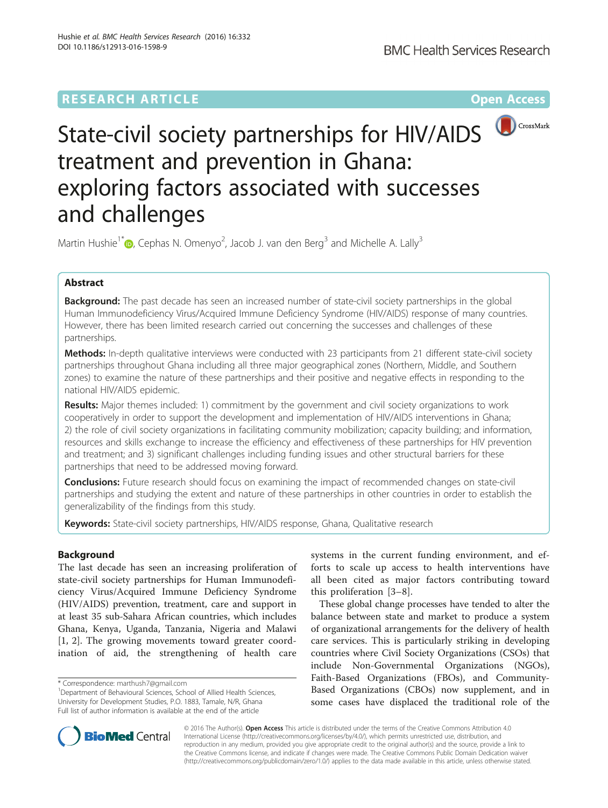# **RESEARCH ARTICLE Example 2014 12:30 The Contract of Contract ACCESS**



# State-civil society partnerships for HIV/AIDS treatment and prevention in Ghana: exploring factors associated with successes and challenges

Martin Hushie<sup>1\*</sup> $\text{D}$ [,](http://orcid.org/0000-0001-6127-4150) Cephas N. Omenyo<sup>2</sup>, Jacob J. van den Berg<sup>3</sup> and Michelle A. Lally<sup>3</sup>

# Abstract

**Background:** The past decade has seen an increased number of state-civil society partnerships in the global Human Immunodeficiency Virus/Acquired Immune Deficiency Syndrome (HIV/AIDS) response of many countries. However, there has been limited research carried out concerning the successes and challenges of these partnerships.

Methods: In-depth qualitative interviews were conducted with 23 participants from 21 different state-civil society partnerships throughout Ghana including all three major geographical zones (Northern, Middle, and Southern zones) to examine the nature of these partnerships and their positive and negative effects in responding to the national HIV/AIDS epidemic.

Results: Major themes included: 1) commitment by the government and civil society organizations to work cooperatively in order to support the development and implementation of HIV/AIDS interventions in Ghana; 2) the role of civil society organizations in facilitating community mobilization; capacity building; and information, resources and skills exchange to increase the efficiency and effectiveness of these partnerships for HIV prevention and treatment; and 3) significant challenges including funding issues and other structural barriers for these partnerships that need to be addressed moving forward.

**Conclusions:** Future research should focus on examining the impact of recommended changes on state-civil partnerships and studying the extent and nature of these partnerships in other countries in order to establish the generalizability of the findings from this study.

Keywords: State-civil society partnerships, HIV/AIDS response, Ghana, Qualitative research

# **Background**

The last decade has seen an increasing proliferation of state-civil society partnerships for Human Immunodeficiency Virus/Acquired Immune Deficiency Syndrome (HIV/AIDS) prevention, treatment, care and support in at least 35 sub-Sahara African countries, which includes Ghana, Kenya, Uganda, Tanzania, Nigeria and Malawi [[1, 2](#page-9-0)]. The growing movements toward greater coordination of aid, the strengthening of health care

systems in the current funding environment, and efforts to scale up access to health interventions have all been cited as major factors contributing toward this proliferation [[3](#page-9-0)–[8\]](#page-9-0).

These global change processes have tended to alter the balance between state and market to produce a system of organizational arrangements for the delivery of health care services. This is particularly striking in developing countries where Civil Society Organizations (CSOs) that include Non-Governmental Organizations (NGOs), Faith-Based Organizations (FBOs), and Community-Based Organizations (CBOs) now supplement, and in some cases have displaced the traditional role of the



© 2016 The Author(s). Open Access This article is distributed under the terms of the Creative Commons Attribution 4.0 International License [\(http://creativecommons.org/licenses/by/4.0/](http://creativecommons.org/licenses/by/4.0/)), which permits unrestricted use, distribution, and reproduction in any medium, provided you give appropriate credit to the original author(s) and the source, provide a link to the Creative Commons license, and indicate if changes were made. The Creative Commons Public Domain Dedication waiver [\(http://creativecommons.org/publicdomain/zero/1.0/](http://creativecommons.org/publicdomain/zero/1.0/)) applies to the data made available in this article, unless otherwise stated.

<sup>\*</sup> Correspondence: [marthush7@gmail.com](mailto:marthush7@gmail.com) <sup>1</sup>

<sup>&</sup>lt;sup>1</sup>Department of Behavioural Sciences, School of Allied Health Sciences, University for Development Studies, P.O. 1883, Tamale, N/R, Ghana Full list of author information is available at the end of the article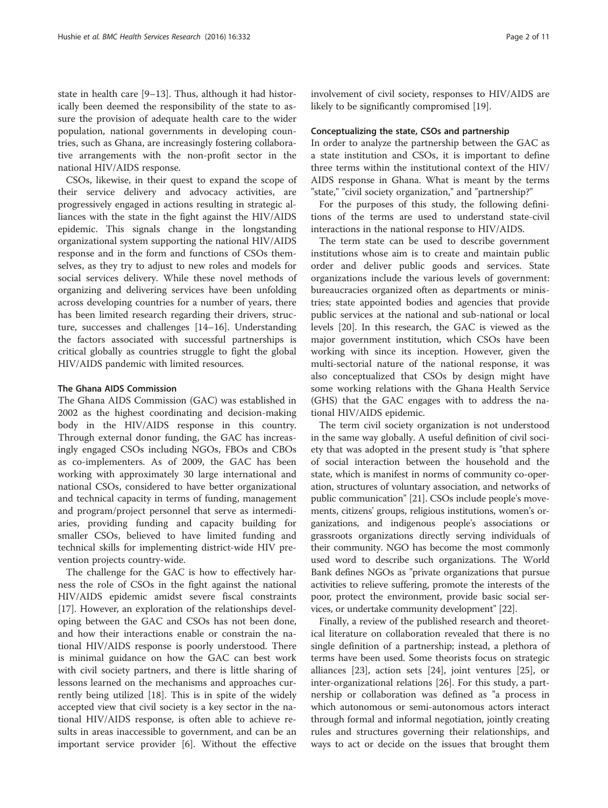state in health care [[9](#page-9-0)–[13](#page-9-0)]. Thus, although it had historically been deemed the responsibility of the state to assure the provision of adequate health care to the wider population, national governments in developing countries, such as Ghana, are increasingly fostering collaborative arrangements with the non-profit sector in the national HIV/AIDS response.

CSOs, likewise, in their quest to expand the scope of their service delivery and advocacy activities, are progressively engaged in actions resulting in strategic alliances with the state in the fight against the HIV/AIDS epidemic. This signals change in the longstanding organizational system supporting the national HIV/AIDS response and in the form and functions of CSOs themselves, as they try to adjust to new roles and models for social services delivery. While these novel methods of organizing and delivering services have been unfolding across developing countries for a number of years, there has been limited research regarding their drivers, structure, successes and challenges [\[14](#page-9-0)–[16\]](#page-9-0). Understanding the factors associated with successful partnerships is critical globally as countries struggle to fight the global HIV/AIDS pandemic with limited resources.

#### The Ghana AIDS Commission

The Ghana AIDS Commission (GAC) was established in 2002 as the highest coordinating and decision-making body in the HIV/AIDS response in this country. Through external donor funding, the GAC has increasingly engaged CSOs including NGOs, FBOs and CBOs as co-implementers. As of 2009, the GAC has been working with approximately 30 large international and national CSOs, considered to have better organizational and technical capacity in terms of funding, management and program/project personnel that serve as intermediaries, providing funding and capacity building for smaller CSOs, believed to have limited funding and technical skills for implementing district-wide HIV prevention projects country-wide.

The challenge for the GAC is how to effectively harness the role of CSOs in the fight against the national HIV/AIDS epidemic amidst severe fiscal constraints [[17\]](#page-9-0). However, an exploration of the relationships developing between the GAC and CSOs has not been done, and how their interactions enable or constrain the national HIV/AIDS response is poorly understood. There is minimal guidance on how the GAC can best work with civil society partners, and there is little sharing of lessons learned on the mechanisms and approaches currently being utilized [\[18\]](#page-9-0). This is in spite of the widely accepted view that civil society is a key sector in the national HIV/AIDS response, is often able to achieve results in areas inaccessible to government, and can be an important service provider [\[6](#page-9-0)]. Without the effective

involvement of civil society, responses to HIV/AIDS are likely to be significantly compromised [\[19](#page-10-0)].

#### Conceptualizing the state, CSOs and partnership

In order to analyze the partnership between the GAC as a state institution and CSOs, it is important to define three terms within the institutional context of the HIV/ AIDS response in Ghana. What is meant by the terms "state," "civil society organization," and "partnership?"

For the purposes of this study, the following definitions of the terms are used to understand state-civil interactions in the national response to HIV/AIDS.

The term state can be used to describe government institutions whose aim is to create and maintain public order and deliver public goods and services. State organizations include the various levels of government: bureaucracies organized often as departments or ministries; state appointed bodies and agencies that provide public services at the national and sub-national or local levels [[20](#page-10-0)]. In this research, the GAC is viewed as the major government institution, which CSOs have been working with since its inception. However, given the multi-sectorial nature of the national response, it was also conceptualized that CSOs by design might have some working relations with the Ghana Health Service (GHS) that the GAC engages with to address the national HIV/AIDS epidemic.

The term civil society organization is not understood in the same way globally. A useful definition of civil society that was adopted in the present study is "that sphere of social interaction between the household and the state, which is manifest in norms of community co-operation, structures of voluntary association, and networks of public communication" [\[21\]](#page-10-0). CSOs include people's movements, citizens' groups, religious institutions, women's organizations, and indigenous people's associations or grassroots organizations directly serving individuals of their community. NGO has become the most commonly used word to describe such organizations. The World Bank defines NGOs as "private organizations that pursue activities to relieve suffering, promote the interests of the poor, protect the environment, provide basic social services, or undertake community development" [\[22\]](#page-10-0).

Finally, a review of the published research and theoretical literature on collaboration revealed that there is no single definition of a partnership; instead, a plethora of terms have been used. Some theorists focus on strategic alliances [[23](#page-10-0)], action sets [[24\]](#page-10-0), joint ventures [\[25](#page-10-0)], or inter-organizational relations [[26\]](#page-10-0). For this study, a partnership or collaboration was defined as "a process in which autonomous or semi-autonomous actors interact through formal and informal negotiation, jointly creating rules and structures governing their relationships, and ways to act or decide on the issues that brought them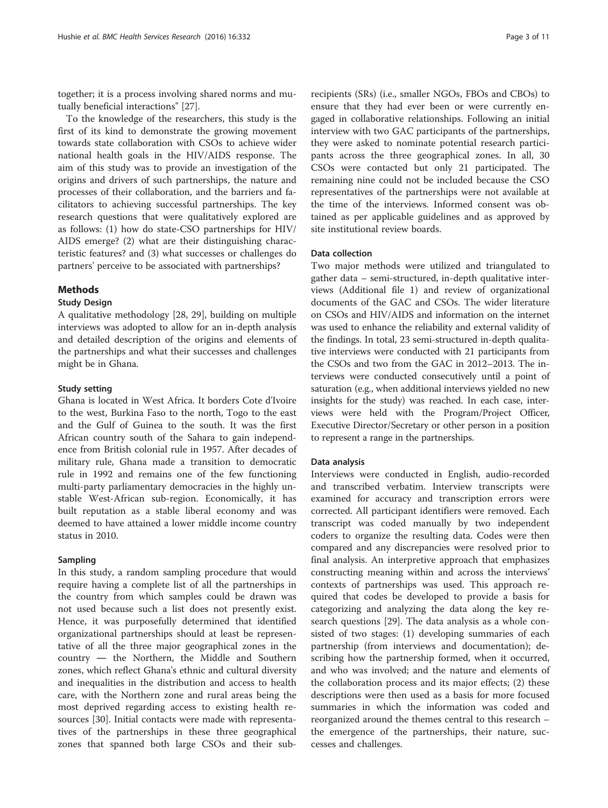together; it is a process involving shared norms and mutually beneficial interactions" [[27\]](#page-10-0).

To the knowledge of the researchers, this study is the first of its kind to demonstrate the growing movement towards state collaboration with CSOs to achieve wider national health goals in the HIV/AIDS response. The aim of this study was to provide an investigation of the origins and drivers of such partnerships, the nature and processes of their collaboration, and the barriers and facilitators to achieving successful partnerships. The key research questions that were qualitatively explored are as follows: (1) how do state-CSO partnerships for HIV/ AIDS emerge? (2) what are their distinguishing characteristic features? and (3) what successes or challenges do partners' perceive to be associated with partnerships?

# Methods

# Study Design

A qualitative methodology [\[28](#page-10-0), [29](#page-10-0)], building on multiple interviews was adopted to allow for an in-depth analysis and detailed description of the origins and elements of the partnerships and what their successes and challenges might be in Ghana.

# Study setting

Ghana is located in West Africa. It borders Cote d'Ivoire to the west, Burkina Faso to the north, Togo to the east and the Gulf of Guinea to the south. It was the first African country south of the Sahara to gain independence from British colonial rule in 1957. After decades of military rule, Ghana made a transition to democratic rule in 1992 and remains one of the few functioning multi-party parliamentary democracies in the highly unstable West-African sub-region. Economically, it has built reputation as a stable liberal economy and was deemed to have attained a lower middle income country status in 2010.

# Sampling

In this study, a random sampling procedure that would require having a complete list of all the partnerships in the country from which samples could be drawn was not used because such a list does not presently exist. Hence, it was purposefully determined that identified organizational partnerships should at least be representative of all the three major geographical zones in the country ― the Northern, the Middle and Southern zones, which reflect Ghana's ethnic and cultural diversity and inequalities in the distribution and access to health care, with the Northern zone and rural areas being the most deprived regarding access to existing health resources [\[30](#page-10-0)]. Initial contacts were made with representatives of the partnerships in these three geographical zones that spanned both large CSOs and their subrecipients (SRs) (i.e., smaller NGOs, FBOs and CBOs) to ensure that they had ever been or were currently engaged in collaborative relationships. Following an initial interview with two GAC participants of the partnerships, they were asked to nominate potential research participants across the three geographical zones. In all, 30 CSOs were contacted but only 21 participated. The remaining nine could not be included because the CSO representatives of the partnerships were not available at the time of the interviews. Informed consent was obtained as per applicable guidelines and as approved by site institutional review boards.

#### Data collection

Two major methods were utilized and triangulated to gather data – semi-structured, in-depth qualitative interviews (Additional file [1\)](#page-9-0) and review of organizational documents of the GAC and CSOs. The wider literature on CSOs and HIV/AIDS and information on the internet was used to enhance the reliability and external validity of the findings. In total, 23 semi-structured in-depth qualitative interviews were conducted with 21 participants from the CSOs and two from the GAC in 2012–2013. The interviews were conducted consecutively until a point of saturation (e.g., when additional interviews yielded no new insights for the study) was reached. In each case, interviews were held with the Program/Project Officer, Executive Director/Secretary or other person in a position to represent a range in the partnerships.

#### Data analysis

Interviews were conducted in English, audio-recorded and transcribed verbatim. Interview transcripts were examined for accuracy and transcription errors were corrected. All participant identifiers were removed. Each transcript was coded manually by two independent coders to organize the resulting data. Codes were then compared and any discrepancies were resolved prior to final analysis. An interpretive approach that emphasizes constructing meaning within and across the interviews' contexts of partnerships was used. This approach required that codes be developed to provide a basis for categorizing and analyzing the data along the key research questions [\[29](#page-10-0)]. The data analysis as a whole consisted of two stages: (1) developing summaries of each partnership (from interviews and documentation); describing how the partnership formed, when it occurred, and who was involved; and the nature and elements of the collaboration process and its major effects; (2) these descriptions were then used as a basis for more focused summaries in which the information was coded and reorganized around the themes central to this research – the emergence of the partnerships, their nature, successes and challenges.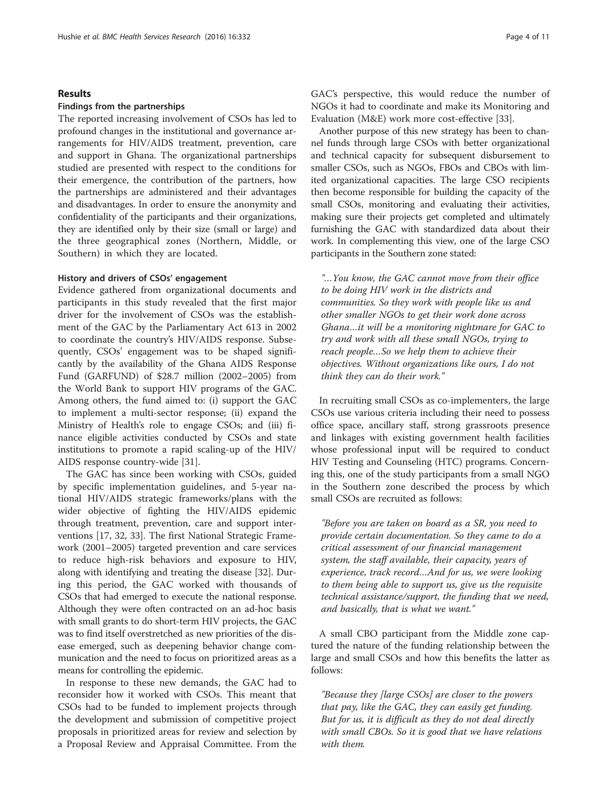# Results

#### Findings from the partnerships

The reported increasing involvement of CSOs has led to profound changes in the institutional and governance arrangements for HIV/AIDS treatment, prevention, care and support in Ghana. The organizational partnerships studied are presented with respect to the conditions for their emergence, the contribution of the partners, how the partnerships are administered and their advantages and disadvantages. In order to ensure the anonymity and confidentiality of the participants and their organizations, they are identified only by their size (small or large) and the three geographical zones (Northern, Middle, or Southern) in which they are located.

# History and drivers of CSOs' engagement

Evidence gathered from organizational documents and participants in this study revealed that the first major driver for the involvement of CSOs was the establishment of the GAC by the Parliamentary Act 613 in 2002 to coordinate the country's HIV/AIDS response. Subsequently, CSOs' engagement was to be shaped significantly by the availability of the Ghana AIDS Response Fund (GARFUND) of \$28.7 million (2002–2005) from the World Bank to support HIV programs of the GAC. Among others, the fund aimed to: (i) support the GAC to implement a multi-sector response; (ii) expand the Ministry of Health's role to engage CSOs; and (iii) finance eligible activities conducted by CSOs and state institutions to promote a rapid scaling-up of the HIV/ AIDS response country-wide [\[31\]](#page-10-0).

The GAC has since been working with CSOs, guided by specific implementation guidelines, and 5-year national HIV/AIDS strategic frameworks/plans with the wider objective of fighting the HIV/AIDS epidemic through treatment, prevention, care and support interventions [\[17](#page-9-0), [32](#page-10-0), [33](#page-10-0)]. The first National Strategic Framework (2001–2005) targeted prevention and care services to reduce high-risk behaviors and exposure to HIV, along with identifying and treating the disease [[32\]](#page-10-0). During this period, the GAC worked with thousands of CSOs that had emerged to execute the national response. Although they were often contracted on an ad-hoc basis with small grants to do short-term HIV projects, the GAC was to find itself overstretched as new priorities of the disease emerged, such as deepening behavior change communication and the need to focus on prioritized areas as a means for controlling the epidemic.

In response to these new demands, the GAC had to reconsider how it worked with CSOs. This meant that CSOs had to be funded to implement projects through the development and submission of competitive project proposals in prioritized areas for review and selection by a Proposal Review and Appraisal Committee. From the

GAC's perspective, this would reduce the number of NGOs it had to coordinate and make its Monitoring and Evaluation (M&E) work more cost-effective [[33\]](#page-10-0).

Another purpose of this new strategy has been to channel funds through large CSOs with better organizational and technical capacity for subsequent disbursement to smaller CSOs, such as NGOs, FBOs and CBOs with limited organizational capacities. The large CSO recipients then become responsible for building the capacity of the small CSOs, monitoring and evaluating their activities, making sure their projects get completed and ultimately furnishing the GAC with standardized data about their work. In complementing this view, one of the large CSO participants in the Southern zone stated:

"…You know, the GAC cannot move from their office to be doing HIV work in the districts and communities. So they work with people like us and other smaller NGOs to get their work done across Ghana…it will be a monitoring nightmare for GAC to try and work with all these small NGOs, trying to reach people…So we help them to achieve their objectives. Without organizations like ours, I do not think they can do their work."

In recruiting small CSOs as co-implementers, the large CSOs use various criteria including their need to possess office space, ancillary staff, strong grassroots presence and linkages with existing government health facilities whose professional input will be required to conduct HIV Testing and Counseling (HTC) programs. Concerning this, one of the study participants from a small NGO in the Southern zone described the process by which small CSOs are recruited as follows:

"Before you are taken on board as a SR, you need to provide certain documentation. So they came to do a critical assessment of our financial management system, the staff available, their capacity, years of experience, track record…And for us, we were looking to them being able to support us, give us the requisite technical assistance/support, the funding that we need, and basically, that is what we want."

A small CBO participant from the Middle zone captured the nature of the funding relationship between the large and small CSOs and how this benefits the latter as follows:

"Because they [large CSOs] are closer to the powers that pay, like the GAC, they can easily get funding. But for us, it is difficult as they do not deal directly with small CBOs. So it is good that we have relations with them.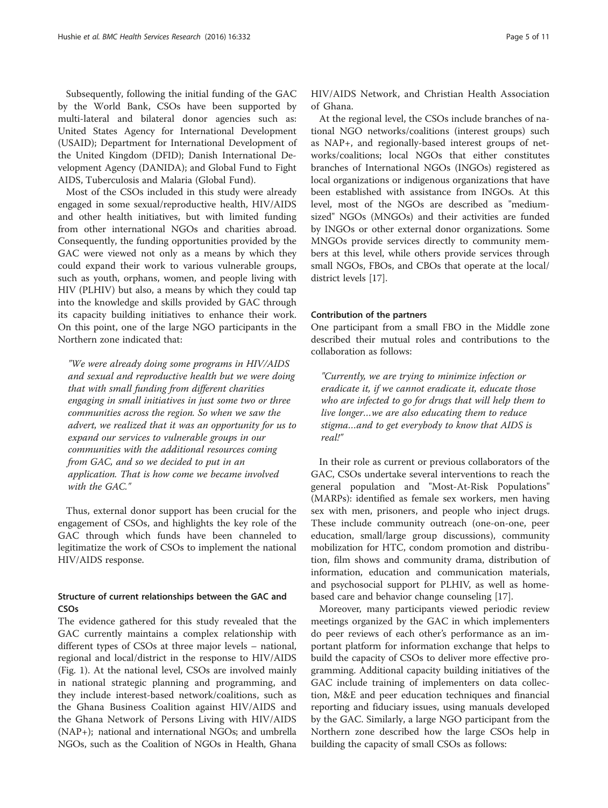Subsequently, following the initial funding of the GAC by the World Bank, CSOs have been supported by multi-lateral and bilateral donor agencies such as: United States Agency for International Development (USAID); Department for International Development of the United Kingdom (DFID); Danish International Development Agency (DANIDA); and Global Fund to Fight AIDS, Tuberculosis and Malaria (Global Fund).

Most of the CSOs included in this study were already engaged in some sexual/reproductive health, HIV/AIDS and other health initiatives, but with limited funding from other international NGOs and charities abroad. Consequently, the funding opportunities provided by the GAC were viewed not only as a means by which they could expand their work to various vulnerable groups, such as youth, orphans, women, and people living with HIV (PLHIV) but also, a means by which they could tap into the knowledge and skills provided by GAC through its capacity building initiatives to enhance their work. On this point, one of the large NGO participants in the Northern zone indicated that:

"We were already doing some programs in HIV/AIDS and sexual and reproductive health but we were doing that with small funding from different charities engaging in small initiatives in just some two or three communities across the region. So when we saw the advert, we realized that it was an opportunity for us to expand our services to vulnerable groups in our communities with the additional resources coming from GAC, and so we decided to put in an application. That is how come we became involved with the GAC."

Thus, external donor support has been crucial for the engagement of CSOs, and highlights the key role of the GAC through which funds have been channeled to legitimatize the work of CSOs to implement the national HIV/AIDS response.

# Structure of current relationships between the GAC and **CSOs**

The evidence gathered for this study revealed that the GAC currently maintains a complex relationship with different types of CSOs at three major levels – national, regional and local/district in the response to HIV/AIDS (Fig. [1\)](#page-5-0). At the national level, CSOs are involved mainly in national strategic planning and programming, and they include interest-based network/coalitions, such as the Ghana Business Coalition against HIV/AIDS and the Ghana Network of Persons Living with HIV/AIDS (NAP+); national and international NGOs; and umbrella NGOs, such as the Coalition of NGOs in Health, Ghana

HIV/AIDS Network, and Christian Health Association of Ghana.

At the regional level, the CSOs include branches of national NGO networks/coalitions (interest groups) such as NAP+, and regionally-based interest groups of networks/coalitions; local NGOs that either constitutes branches of International NGOs (INGOs) registered as local organizations or indigenous organizations that have been established with assistance from INGOs. At this level, most of the NGOs are described as "mediumsized" NGOs (MNGOs) and their activities are funded by INGOs or other external donor organizations. Some MNGOs provide services directly to community members at this level, while others provide services through small NGOs, FBOs, and CBOs that operate at the local/ district levels [[17](#page-9-0)].

#### Contribution of the partners

One participant from a small FBO in the Middle zone described their mutual roles and contributions to the collaboration as follows:

"Currently, we are trying to minimize infection or eradicate it, if we cannot eradicate it, educate those who are infected to go for drugs that will help them to live longer…we are also educating them to reduce stigma…and to get everybody to know that AIDS is real!"

In their role as current or previous collaborators of the GAC, CSOs undertake several interventions to reach the general population and "Most-At-Risk Populations" (MARPs): identified as female sex workers, men having sex with men, prisoners, and people who inject drugs. These include community outreach (one-on-one, peer education, small/large group discussions), community mobilization for HTC, condom promotion and distribution, film shows and community drama, distribution of information, education and communication materials, and psychosocial support for PLHIV, as well as homebased care and behavior change counseling [[17\]](#page-9-0).

Moreover, many participants viewed periodic review meetings organized by the GAC in which implementers do peer reviews of each other's performance as an important platform for information exchange that helps to build the capacity of CSOs to deliver more effective programming. Additional capacity building initiatives of the GAC include training of implementers on data collection, M&E and peer education techniques and financial reporting and fiduciary issues, using manuals developed by the GAC. Similarly, a large NGO participant from the Northern zone described how the large CSOs help in building the capacity of small CSOs as follows: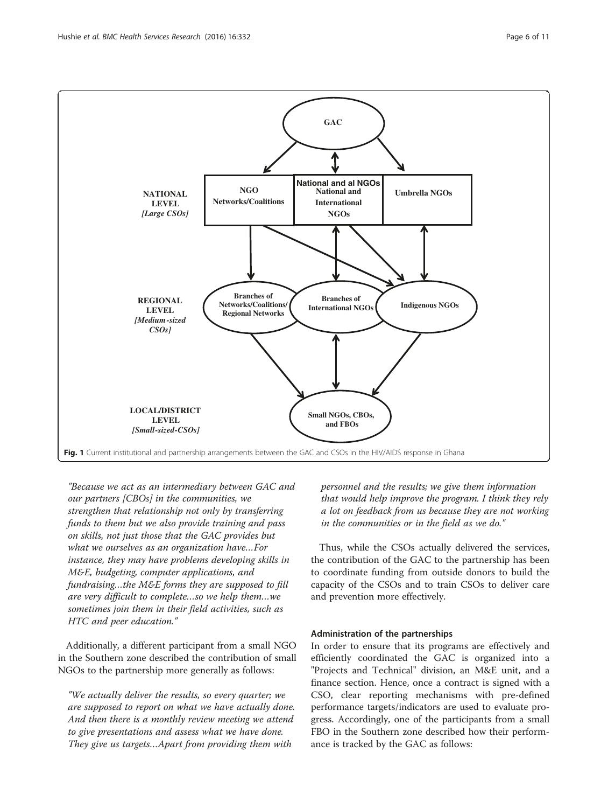<span id="page-5-0"></span>

"Because we act as an intermediary between GAC and our partners [CBOs] in the communities, we strengthen that relationship not only by transferring funds to them but we also provide training and pass on skills, not just those that the GAC provides but what we ourselves as an organization have…For instance, they may have problems developing skills in M&E, budgeting, computer applications, and fundraising…the M&E forms they are supposed to fill are very difficult to complete…so we help them…we sometimes join them in their field activities, such as HTC and peer education."

Additionally, a different participant from a small NGO in the Southern zone described the contribution of small NGOs to the partnership more generally as follows:

"We actually deliver the results, so every quarter; we are supposed to report on what we have actually done. And then there is a monthly review meeting we attend to give presentations and assess what we have done. They give us targets…Apart from providing them with

personnel and the results; we give them information that would help improve the program. I think they rely a lot on feedback from us because they are not working in the communities or in the field as we do."

Thus, while the CSOs actually delivered the services, the contribution of the GAC to the partnership has been to coordinate funding from outside donors to build the capacity of the CSOs and to train CSOs to deliver care and prevention more effectively.

# Administration of the partnerships

In order to ensure that its programs are effectively and efficiently coordinated the GAC is organized into a "Projects and Technical" division, an M&E unit, and a finance section. Hence, once a contract is signed with a CSO, clear reporting mechanisms with pre-defined performance targets/indicators are used to evaluate progress. Accordingly, one of the participants from a small FBO in the Southern zone described how their performance is tracked by the GAC as follows: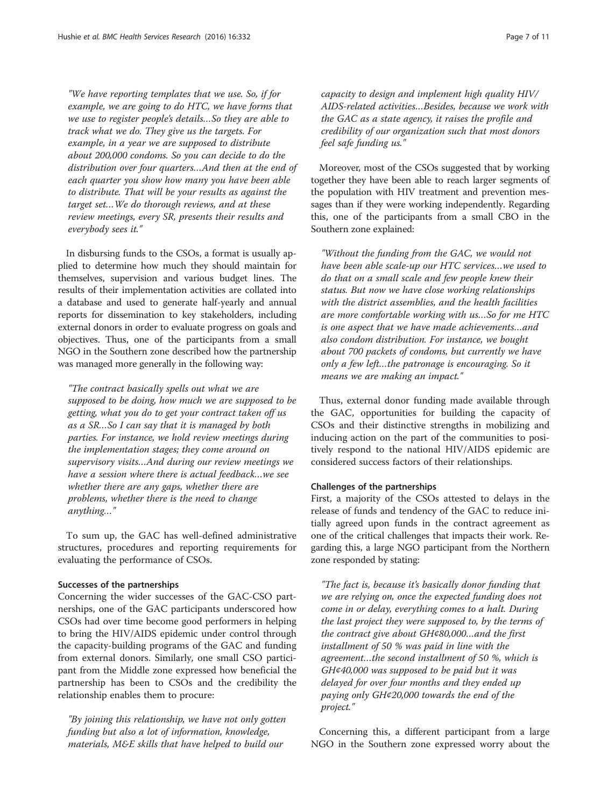"We have reporting templates that we use. So, if for example, we are going to do HTC, we have forms that we use to register people's details…So they are able to track what we do. They give us the targets. For example, in a year we are supposed to distribute about 200,000 condoms. So you can decide to do the distribution over four quarters…And then at the end of each quarter you show how many you have been able to distribute. That will be your results as against the target set…We do thorough reviews, and at these review meetings, every SR, presents their results and everybody sees it."

In disbursing funds to the CSOs, a format is usually applied to determine how much they should maintain for themselves, supervision and various budget lines. The results of their implementation activities are collated into a database and used to generate half-yearly and annual reports for dissemination to key stakeholders, including external donors in order to evaluate progress on goals and objectives. Thus, one of the participants from a small NGO in the Southern zone described how the partnership was managed more generally in the following way:

"The contract basically spells out what we are supposed to be doing, how much we are supposed to be getting, what you do to get your contract taken off us as a SR…So I can say that it is managed by both parties. For instance, we hold review meetings during the implementation stages; they come around on supervisory visits…And during our review meetings we have a session where there is actual feedback…we see whether there are any gaps, whether there are problems, whether there is the need to change anything…"

To sum up, the GAC has well-defined administrative structures, procedures and reporting requirements for evaluating the performance of CSOs.

# Successes of the partnerships

Concerning the wider successes of the GAC-CSO partnerships, one of the GAC participants underscored how CSOs had over time become good performers in helping to bring the HIV/AIDS epidemic under control through the capacity-building programs of the GAC and funding from external donors. Similarly, one small CSO participant from the Middle zone expressed how beneficial the partnership has been to CSOs and the credibility the relationship enables them to procure:

"By joining this relationship, we have not only gotten funding but also a lot of information, knowledge, materials, M&E skills that have helped to build our

capacity to design and implement high quality HIV/ AIDS-related activities…Besides, because we work with the GAC as a state agency, it raises the profile and credibility of our organization such that most donors feel safe funding us."

Moreover, most of the CSOs suggested that by working together they have been able to reach larger segments of the population with HIV treatment and prevention messages than if they were working independently. Regarding this, one of the participants from a small CBO in the Southern zone explained:

"Without the funding from the GAC, we would not have been able scale-up our HTC services…we used to do that on a small scale and few people knew their status. But now we have close working relationships with the district assemblies, and the health facilities are more comfortable working with us…So for me HTC is one aspect that we have made achievements…and also condom distribution. For instance, we bought about 700 packets of condoms, but currently we have only a few left…the patronage is encouraging. So it means we are making an impact."

Thus, external donor funding made available through the GAC, opportunities for building the capacity of CSOs and their distinctive strengths in mobilizing and inducing action on the part of the communities to positively respond to the national HIV/AIDS epidemic are considered success factors of their relationships.

# Challenges of the partnerships

First, a majority of the CSOs attested to delays in the release of funds and tendency of the GAC to reduce initially agreed upon funds in the contract agreement as one of the critical challenges that impacts their work. Regarding this, a large NGO participant from the Northern zone responded by stating:

"The fact is, because it's basically donor funding that we are relying on, once the expected funding does not come in or delay, everything comes to a halt. During the last project they were supposed to, by the terms of the contract give about GH¢80,000…and the first installment of 50 % was paid in line with the agreement…the second installment of 50 %, which is GH¢40,000 was supposed to be paid but it was delayed for over four months and they ended up paying only GH¢20,000 towards the end of the project."

Concerning this, a different participant from a large NGO in the Southern zone expressed worry about the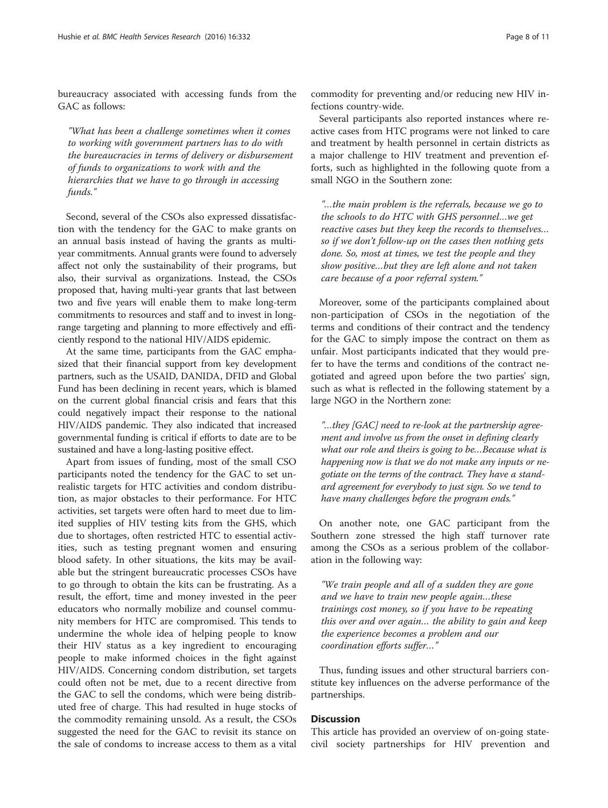bureaucracy associated with accessing funds from the GAC as follows:

"What has been a challenge sometimes when it comes to working with government partners has to do with the bureaucracies in terms of delivery or disbursement of funds to organizations to work with and the hierarchies that we have to go through in accessing funds."

Second, several of the CSOs also expressed dissatisfaction with the tendency for the GAC to make grants on an annual basis instead of having the grants as multiyear commitments. Annual grants were found to adversely affect not only the sustainability of their programs, but also, their survival as organizations. Instead, the CSOs proposed that, having multi-year grants that last between two and five years will enable them to make long-term commitments to resources and staff and to invest in longrange targeting and planning to more effectively and efficiently respond to the national HIV/AIDS epidemic.

At the same time, participants from the GAC emphasized that their financial support from key development partners, such as the USAID, DANIDA, DFID and Global Fund has been declining in recent years, which is blamed on the current global financial crisis and fears that this could negatively impact their response to the national HIV/AIDS pandemic. They also indicated that increased governmental funding is critical if efforts to date are to be sustained and have a long-lasting positive effect.

Apart from issues of funding, most of the small CSO participants noted the tendency for the GAC to set unrealistic targets for HTC activities and condom distribution, as major obstacles to their performance. For HTC activities, set targets were often hard to meet due to limited supplies of HIV testing kits from the GHS, which due to shortages, often restricted HTC to essential activities, such as testing pregnant women and ensuring blood safety. In other situations, the kits may be available but the stringent bureaucratic processes CSOs have to go through to obtain the kits can be frustrating. As a result, the effort, time and money invested in the peer educators who normally mobilize and counsel community members for HTC are compromised. This tends to undermine the whole idea of helping people to know their HIV status as a key ingredient to encouraging people to make informed choices in the fight against HIV/AIDS. Concerning condom distribution, set targets could often not be met, due to a recent directive from the GAC to sell the condoms, which were being distributed free of charge. This had resulted in huge stocks of the commodity remaining unsold. As a result, the CSOs suggested the need for the GAC to revisit its stance on the sale of condoms to increase access to them as a vital

commodity for preventing and/or reducing new HIV infections country-wide.

Several participants also reported instances where reactive cases from HTC programs were not linked to care and treatment by health personnel in certain districts as a major challenge to HIV treatment and prevention efforts, such as highlighted in the following quote from a small NGO in the Southern zone:

"…the main problem is the referrals, because we go to the schools to do HTC with GHS personnel…we get reactive cases but they keep the records to themselves… so if we don't follow-up on the cases then nothing gets done. So, most at times, we test the people and they show positive…but they are left alone and not taken care because of a poor referral system."

Moreover, some of the participants complained about non-participation of CSOs in the negotiation of the terms and conditions of their contract and the tendency for the GAC to simply impose the contract on them as unfair. Most participants indicated that they would prefer to have the terms and conditions of the contract negotiated and agreed upon before the two parties' sign, such as what is reflected in the following statement by a large NGO in the Northern zone:

"…they [GAC] need to re-look at the partnership agreement and involve us from the onset in defining clearly what our role and theirs is going to be...Because what is happening now is that we do not make any inputs or negotiate on the terms of the contract. They have a standard agreement for everybody to just sign. So we tend to have many challenges before the program ends."

On another note, one GAC participant from the Southern zone stressed the high staff turnover rate among the CSOs as a serious problem of the collaboration in the following way:

"We train people and all of a sudden they are gone and we have to train new people again…these trainings cost money, so if you have to be repeating this over and over again… the ability to gain and keep the experience becomes a problem and our coordination efforts suffer…"

Thus, funding issues and other structural barriers constitute key influences on the adverse performance of the partnerships.

# **Discussion**

This article has provided an overview of on-going statecivil society partnerships for HIV prevention and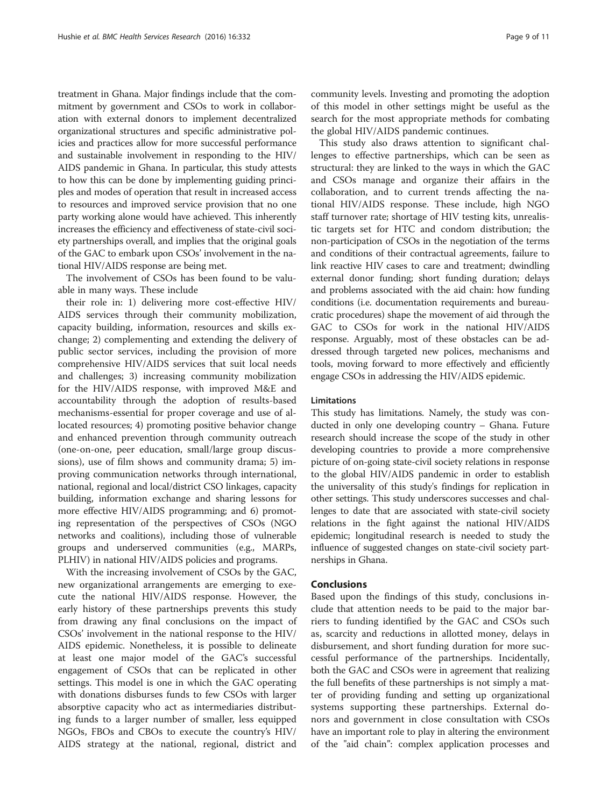treatment in Ghana. Major findings include that the commitment by government and CSOs to work in collaboration with external donors to implement decentralized organizational structures and specific administrative policies and practices allow for more successful performance and sustainable involvement in responding to the HIV/ AIDS pandemic in Ghana. In particular, this study attests to how this can be done by implementing guiding principles and modes of operation that result in increased access to resources and improved service provision that no one party working alone would have achieved. This inherently increases the efficiency and effectiveness of state-civil society partnerships overall, and implies that the original goals of the GAC to embark upon CSOs' involvement in the national HIV/AIDS response are being met.

The involvement of CSOs has been found to be valuable in many ways. These include

their role in: 1) delivering more cost-effective HIV/ AIDS services through their community mobilization, capacity building, information, resources and skills exchange; 2) complementing and extending the delivery of public sector services, including the provision of more comprehensive HIV/AIDS services that suit local needs and challenges; 3) increasing community mobilization for the HIV/AIDS response, with improved M&E and accountability through the adoption of results-based mechanisms-essential for proper coverage and use of allocated resources; 4) promoting positive behavior change and enhanced prevention through community outreach (one-on-one, peer education, small/large group discussions), use of film shows and community drama; 5) improving communication networks through international, national, regional and local/district CSO linkages, capacity building, information exchange and sharing lessons for more effective HIV/AIDS programming; and 6) promoting representation of the perspectives of CSOs (NGO networks and coalitions), including those of vulnerable groups and underserved communities (e.g., MARPs, PLHIV) in national HIV/AIDS policies and programs.

With the increasing involvement of CSOs by the GAC, new organizational arrangements are emerging to execute the national HIV/AIDS response. However, the early history of these partnerships prevents this study from drawing any final conclusions on the impact of CSOs' involvement in the national response to the HIV/ AIDS epidemic. Nonetheless, it is possible to delineate at least one major model of the GAC's successful engagement of CSOs that can be replicated in other settings. This model is one in which the GAC operating with donations disburses funds to few CSOs with larger absorptive capacity who act as intermediaries distributing funds to a larger number of smaller, less equipped NGOs, FBOs and CBOs to execute the country's HIV/ AIDS strategy at the national, regional, district and

community levels. Investing and promoting the adoption of this model in other settings might be useful as the search for the most appropriate methods for combating the global HIV/AIDS pandemic continues.

This study also draws attention to significant challenges to effective partnerships, which can be seen as structural: they are linked to the ways in which the GAC and CSOs manage and organize their affairs in the collaboration, and to current trends affecting the national HIV/AIDS response. These include, high NGO staff turnover rate; shortage of HIV testing kits, unrealistic targets set for HTC and condom distribution; the non-participation of CSOs in the negotiation of the terms and conditions of their contractual agreements, failure to link reactive HIV cases to care and treatment; dwindling external donor funding; short funding duration; delays and problems associated with the aid chain: how funding conditions (i.e. documentation requirements and bureaucratic procedures) shape the movement of aid through the GAC to CSOs for work in the national HIV/AIDS response. Arguably, most of these obstacles can be addressed through targeted new polices, mechanisms and tools, moving forward to more effectively and efficiently engage CSOs in addressing the HIV/AIDS epidemic.

# Limitations

This study has limitations. Namely, the study was conducted in only one developing country – Ghana. Future research should increase the scope of the study in other developing countries to provide a more comprehensive picture of on-going state-civil society relations in response to the global HIV/AIDS pandemic in order to establish the universality of this study's findings for replication in other settings. This study underscores successes and challenges to date that are associated with state-civil society relations in the fight against the national HIV/AIDS epidemic; longitudinal research is needed to study the influence of suggested changes on state-civil society partnerships in Ghana.

# **Conclusions**

Based upon the findings of this study, conclusions include that attention needs to be paid to the major barriers to funding identified by the GAC and CSOs such as, scarcity and reductions in allotted money, delays in disbursement, and short funding duration for more successful performance of the partnerships. Incidentally, both the GAC and CSOs were in agreement that realizing the full benefits of these partnerships is not simply a matter of providing funding and setting up organizational systems supporting these partnerships. External donors and government in close consultation with CSOs have an important role to play in altering the environment of the "aid chain": complex application processes and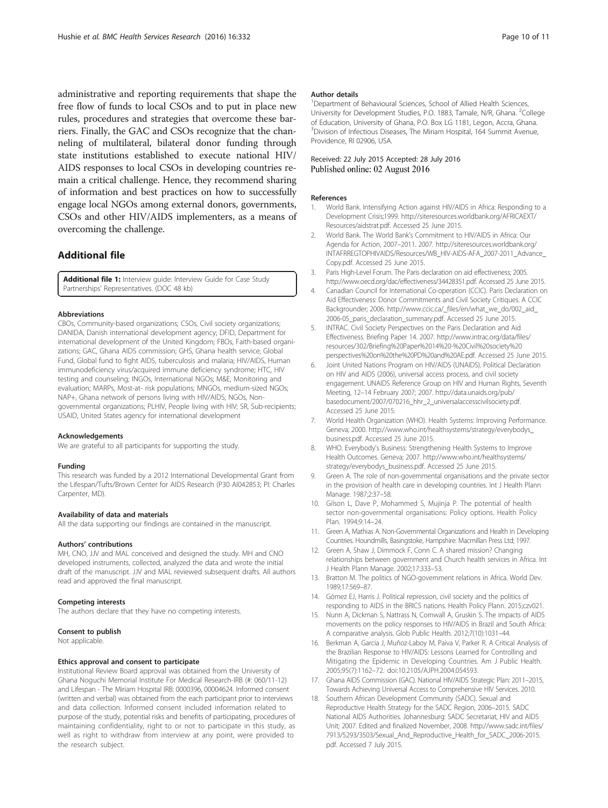<span id="page-9-0"></span>administrative and reporting requirements that shape the free flow of funds to local CSOs and to put in place new rules, procedures and strategies that overcome these barriers. Finally, the GAC and CSOs recognize that the channeling of multilateral, bilateral donor funding through state institutions established to execute national HIV/ AIDS responses to local CSOs in developing countries remain a critical challenge. Hence, they recommend sharing of information and best practices on how to successfully engage local NGOs among external donors, governments, CSOs and other HIV/AIDS implementers, as a means of overcoming the challenge.

# Additional file

[Additional file 1:](dx.doi.org/10.1186/s12913-016-1598-9) Interview guide: Interview Guide for Case Study Partnerships' Representatives. (DOC 48 kb)

#### Abbreviations

CBOs, Community-based organizations; CSOs, Civil society organizations; DANIDA, Danish international development agency; DFID, Department for international development of the United Kingdom; FBOs, Faith-based organizations; GAC, Ghana AIDS commission; GHS, Ghana health service; Global Fund, Global fund to fight AIDS, tuberculosis and malaria; HIV/AIDS, Human immunodeficiency virus/acquired immune deficiency syndrome; HTC, HIV testing and counseling; INGOs, International NGOs; M&E, Monitoring and evaluation; MARPs, Most-at- risk populations; MNGOs, medium-sized NGOs; NAP+, Ghana network of persons living with HIV/AIDS; NGOs, Nongovernmental organizations; PLHIV, People living with HIV; SR, Sub-recipients; USAID, United States agency for international development

#### Acknowledgements

We are grateful to all participants for supporting the study.

#### Funding

This research was funded by a 2012 International Developmental Grant from the Lifespan/Tufts/Brown Center for AIDS Research (P30 AI042853; PI: Charles Carpenter, MD).

#### Availability of data and materials

All the data supporting our findings are contained in the manuscript.

#### Authors' contributions

MH, CNO, JJV and MAL conceived and designed the study. MH and CNO developed instruments, collected, analyzed the data and wrote the initial draft of the manuscript. JJV and MAL reviewed subsequent drafts. All authors read and approved the final manuscript.

#### Competing interests

The authors declare that they have no competing interests.

#### Consent to publish

Not applicable.

#### Ethics approval and consent to participate

Institutional Review Board approval was obtained from the University of Ghana Noguchi Memorial Institute For Medical Research-IRB (#: 060/11-12) and Lifespan - The Miriam Hospital IRB: 0000396, 00004624. Informed consent (written and verbal) was obtained from the each participant prior to interviews and data collection. Informed consent included information related to purpose of the study, potential risks and benefits of participating, procedures of maintaining confidentiality, right to or not to participate in this study, as well as right to withdraw from interview at any point, were provided to the research subject.

#### Author details

<sup>1</sup>Department of Behavioural Sciences, School of Allied Health Sciences, University for Development Studies, P.O. 1883, Tamale, N/R, Ghana. <sup>2</sup>College of Education, University of Ghana, P.O. Box LG 1181, Legon, Accra, Ghana. <sup>3</sup> Division of Infectious Diseases, The Miriam Hospital, 164 Summit Avenue, Providence, RI 02906, USA.

# Received: 22 July 2015 Accepted: 28 July 2016 Published online: 02 August 2016

#### References

- 1. World Bank. Intensifying Action against HIV/AIDS in Africa: Responding to a Development Crisis;1999. [http://siteresources.worldbank.org/AFRICAEXT/](http://siteresources.worldbank.org/AFRICAEXT/Resources/aidstrat.pdf) [Resources/aidstrat.pdf.](http://siteresources.worldbank.org/AFRICAEXT/Resources/aidstrat.pdf) Accessed 25 June 2015.
- 2. World Bank. The World Bank's Commitment to HIV/AIDS in Africa: Our Agenda for Action, 2007–2011. 2007. [http://siteresources.worldbank.org/](http://siteresources.worldbank.org/INTAFRREGTOPHIVAIDS/Resources/WB_HIV-AIDS-AFA_2007-2011_Advance_Copy.pdf) [INTAFRREGTOPHIVAIDS/Resources/WB\\_HIV-AIDS-AFA\\_2007-2011\\_Advance\\_](http://siteresources.worldbank.org/INTAFRREGTOPHIVAIDS/Resources/WB_HIV-AIDS-AFA_2007-2011_Advance_Copy.pdf) [Copy.pdf](http://siteresources.worldbank.org/INTAFRREGTOPHIVAIDS/Resources/WB_HIV-AIDS-AFA_2007-2011_Advance_Copy.pdf). Accessed 25 June 2015.
- 3. Paris High-Level Forum. The Paris declaration on aid effectiveness; 2005. <http://www.oecd.org/dac/effectiveness/34428351.pdf>. Accessed 25 June 2015.
- 4. Canadian Council for International Co-operation (CCIC). Paris Declaration on Aid Effectiveness: Donor Commitments and Civil Society Critiques. A CCIC Backgrounder; 2006. [http://www.ccic.ca/\\_files/en/what\\_we\\_do/002\\_aid\\_](http://www.ccic.ca/_files/en/what_we_do/002_aid_2006-05_paris_declaration_summary.pdf) [2006-05\\_paris\\_declaration\\_summary.pdf.](http://www.ccic.ca/_files/en/what_we_do/002_aid_2006-05_paris_declaration_summary.pdf) Accessed 25 June 2015.
- 5. INTRAC. Civil Society Perspectives on the Paris Declaration and Aid Effectiveness. Briefing Paper 14. 2007. [http://www.intrac.org/data/files/](http://www.intrac.org/data/files/resources/302/Briefing%20Paper%2014%20-%20Civil%20society%20perspectives%20on%20the%20PD%20and%20AE.pdf) [resources/302/Briefing%20Paper%2014%20-%20Civil%20society%20](http://www.intrac.org/data/files/resources/302/Briefing%20Paper%2014%20-%20Civil%20society%20perspectives%20on%20the%20PD%20and%20AE.pdf) [perspectives%20on%20the%20PD%20and%20AE.pdf](http://www.intrac.org/data/files/resources/302/Briefing%20Paper%2014%20-%20Civil%20society%20perspectives%20on%20the%20PD%20and%20AE.pdf). Accessed 25 June 2015.
- 6. Joint United Nations Program on HIV/AIDS (UNAIDS). Political Declaration on HIV and AIDS (2006), universal access process, and civil society engagement. UNAIDS Reference Group on HIV and Human Rights, Seventh Meeting, 12–14 February 2007; 2007. [http://data.unaids.org/pub/](http://data.unaids.org/pub/basedocument/2007/070216_hhr_2_universalaccesscivilsociety.pdf) [basedocument/2007/070216\\_hhr\\_2\\_universalaccesscivilsociety.pdf](http://data.unaids.org/pub/basedocument/2007/070216_hhr_2_universalaccesscivilsociety.pdf). Accessed 25 June 2015.
- 7. World Health Organization (WHO). Health Systems: Improving Performance. Geneva; 2000. [http://www.who.int/healthsystems/strategy/everybodys\\_](http://www.who.int/healthsystems/strategy/everybodys_business.pdf) [business.pdf.](http://www.who.int/healthsystems/strategy/everybodys_business.pdf) Accessed 25 June 2015.
- 8. WHO. Everybody's Business: Strengthening Health Systems to Improve Health Outcomes. Geneva; 2007. [http://www.who.int/healthsystems/](http://www.who.int/healthsystems/strategy/everybodys_business.pdf) [strategy/everybodys\\_business.pdf.](http://www.who.int/healthsystems/strategy/everybodys_business.pdf) Accessed 25 June 2015.
- 9. Green A. The role of non-governmental organisations and the private sector in the provision of health care in developing countries. Int J Health Plann Manage. 1987;2:37–58.
- 10. Gilson L, Dave P, Mohammed S, Mujinja P. The potential of health sector non-governmental organisations: Policy options. Health Policy Plan. 1994;9:14–24.
- 11. Green A, Mathias A. Non-Governmental Organizations and Health in Developing Countries. Houndmills, Basingstoke, Hampshire: Macmillan Press Ltd; 1997.
- 12. Green A, Shaw J, Dimmock F, Conn C. A shared mission? Changing relationships between government and Church health services in Africa. Int J Health Plann Manage. 2002;17:333–53.
- 13. Bratton M. The politics of NGO-government relations in Africa. World Dev. 1989;17:569–87.
- 14. Gómez EJ, Harris J. Political repression, civil society and the politics of responding to AIDS in the BRICS nations. Health Policy Plann. 2015;czv021.
- 15. Nunn A, Dickman S, Nattrass N, Cornwall A, Gruskin S. The impacts of AIDS movements on the policy responses to HIV/AIDS in Brazil and South Africa: A comparative analysis. Glob Public Health. 2012;7(10):1031–44.
- 16. Berkman A, Garcia J, Muñoz-Laboy M, Paiva V, Parker R. A Critical Analysis of the Brazilian Response to HIV/AIDS: Lessons Learned for Controlling and Mitigating the Epidemic in Developing Countries. Am J Public Health. 2005;95(7):1162–72. doi:[10.2105/AJPH.2004.054593.](http://dx.doi.org/10.2105/AJPH.2004.054593)
- 17. Ghana AIDS Commission (GAC). National HIV/AIDS Strategic Plan: 2011–2015, Towards Achieving Universal Access to Comprehensive HIV Services. 2010.
- 18. Southern African Development Community (SADC). Sexual and Reproductive Health Strategy for the SADC Region, 2006–2015. SADC National AIDS Authorities. Johannesburg: SADC Secretariat, HIV and AIDS Unit; 2007. Edited and finalized November, 2008. [http://www.sadc.int/files/](http://www.sadc.int/files/7913/5293/3503/Sexual_And_Reproductive_Health_for_SADC_2006-2015.pdf) [7913/5293/3503/Sexual\\_And\\_Reproductive\\_Health\\_for\\_SADC\\_2006-2015.](http://www.sadc.int/files/7913/5293/3503/Sexual_And_Reproductive_Health_for_SADC_2006-2015.pdf) [pdf](http://www.sadc.int/files/7913/5293/3503/Sexual_And_Reproductive_Health_for_SADC_2006-2015.pdf). Accessed 7 July 2015.